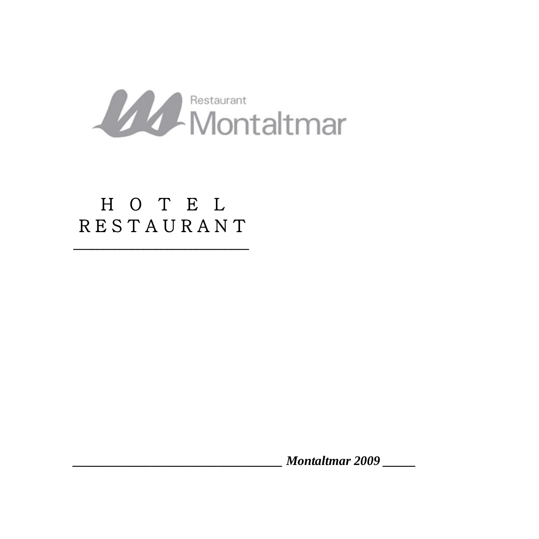

# H O T E L R E S T A U R A N T

\_\_\_\_\_\_\_\_\_\_\_\_\_\_\_\_\_\_\_\_\_\_\_\_\_\_\_\_\_\_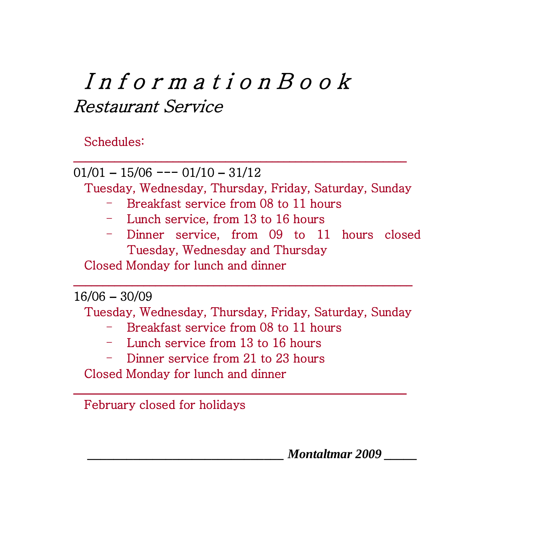# I n f o r m a t i o n B o o k Restaurant Service

### Schedules:

01/01 **–** 15/06 --- 01/10 **–** 31/12 Tuesday, Wednesday, Thursday, Friday, Saturday, Sunday - Breakfast service from 08 to 11 hours - Lunch service, from 13 to 16 hours - Dinner service, from 09 to 11 hours closed Tuesday, Wednesday and Thursday Closed Monday for lunch and dinner \_\_\_\_\_\_\_\_\_\_\_\_\_\_\_\_\_\_\_\_\_\_\_\_\_\_\_\_\_\_\_\_\_\_\_\_\_\_\_\_\_\_\_\_\_\_\_\_\_\_\_\_\_\_\_\_\_\_ 16/06 **–** 30/09 Tuesday, Wednesday, Thursday, Friday, Saturday, Sunday - Breakfast service from 08 to 11 hours - Lunch service from 13 to 16 hours

\_\_\_\_\_\_\_\_\_\_\_\_\_\_\_\_\_\_\_\_\_\_\_\_\_\_\_\_\_\_\_\_\_\_\_\_\_\_\_\_\_\_\_\_\_\_\_\_\_\_\_\_\_\_\_\_\_

\_\_\_\_\_\_\_\_\_\_\_\_\_\_\_\_\_\_\_\_\_\_\_\_\_\_\_\_\_\_\_\_\_\_\_\_\_\_\_\_\_\_\_\_\_\_\_\_\_\_\_\_\_\_\_\_\_

- Dinner service from 21 to 23 hours
- Closed Monday for lunch and dinner

February closed for holidays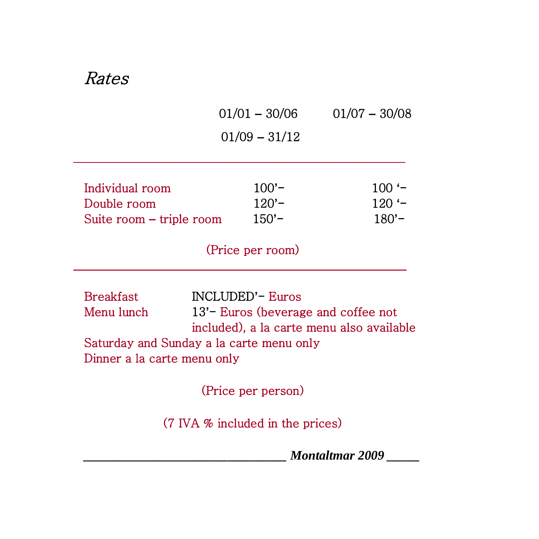### Rates

|                                                            | $01/01 - 30/06$               | $01/07 - 30/08$            |
|------------------------------------------------------------|-------------------------------|----------------------------|
|                                                            | $01/09 - 31/12$               |                            |
| Individual room<br>Double room<br>Suite room – triple room | $100 -$<br>$120 -$<br>$150 -$ | $100 -$<br>120 '-<br>180'– |

(Price per room)

\_\_\_\_\_\_\_\_\_\_\_\_\_\_\_\_\_\_\_\_\_\_\_\_\_\_\_\_\_\_\_\_\_\_\_\_\_\_\_\_\_\_\_\_\_\_\_\_\_\_\_\_\_\_\_\_\_

Breakfast INCLUDED**'**- Euros Menu lunch 13**'**- Euros (beverage and coffee not included), a la carte menu also available Saturday and Sunday a la carte menu only Dinner a la carte menu only

(Price per person)

(7 IVA % included in the prices)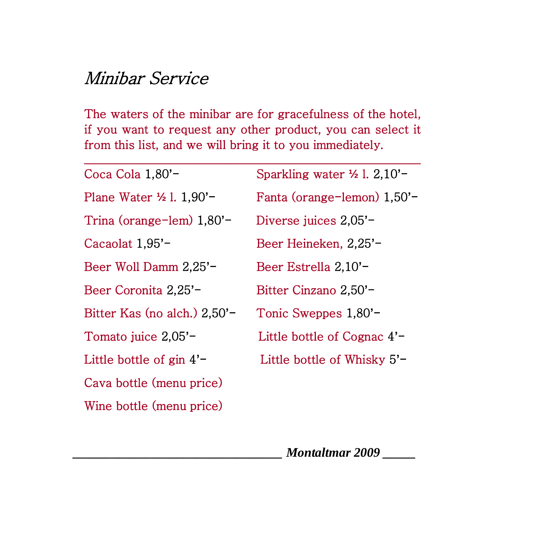# Minibar Service

The waters of the minibar are for gracefulness of the hotel, if you want to request any other product, you can select it from this list, and we will bring it to you immediately.

| Coca Cola 1,80'-             | Sparkling water $\frac{1}{2}$ 1. 2.10'- |  |
|------------------------------|-----------------------------------------|--|
| Plane Water 1/2 1. 1,90'-    | Fanta (orange-lemon) 1,50'-             |  |
| Trina (orange-lem) $1,80'$ - | Diverse juices 2,05'-                   |  |
| Cacaolat 1,95'-              | Beer Heineken, 2,25'-                   |  |
| Beer Woll Damm 2,25'-        | Beer Estrella 2,10'-                    |  |
| Beer Coronita 2,25'-         | Bitter Cinzano 2,50'-                   |  |
| Bitter Kas (no alch.) 2,50'- | Tonic Sweppes 1,80'-                    |  |
| Tomato juice 2,05'-          | Little bottle of Cognac $4'$ -          |  |
| Little bottle of $\sin 4'$   | Little bottle of Whisky 5'-             |  |
| Cava bottle (menu price)     |                                         |  |
|                              |                                         |  |

Wine bottle (menu price)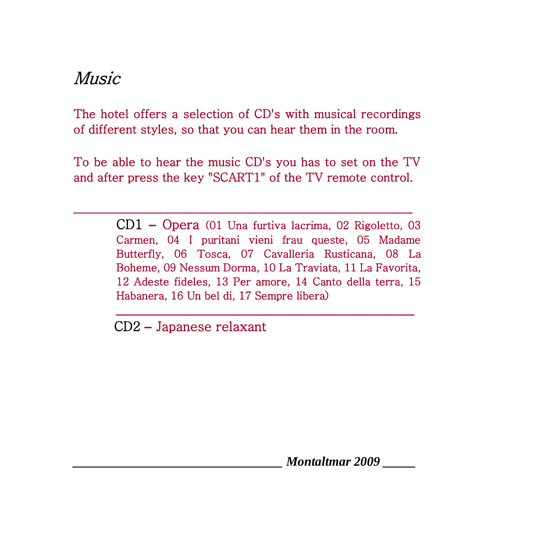# Music

The hotel offers a selection of CD's with musical recordings of different styles, so that you can hear them in the room.

To be able to hear the music CD's you has to set on the TV and after press the key "SCART1" of the TV remote control.

\_\_\_\_\_\_\_\_\_\_\_\_\_\_\_\_\_\_\_\_\_\_\_\_\_\_\_\_\_\_\_\_\_\_\_\_\_\_\_\_\_\_\_\_\_\_\_\_\_\_\_\_\_\_\_\_\_\_

CD1 **–** Opera (01 Una furtiva lacrima, 02 Rigoletto, 03 Carmen, 04 I puritani vieni frau queste, 05 Madame Butterfly, 06 Tosca, 07 Cavalleria Rusticana, 08 La Boheme, 09 Nessum Dorma, 10 La Traviata, 11 La Favorita, 12 Adeste fideles, 13 Per amore, 14 Canto della terra, 15 Habanera, 16 Un bel di, 17 Sempre libera)

\_\_\_\_\_\_\_\_\_\_\_\_\_\_\_\_\_\_\_\_\_\_\_\_\_\_\_\_\_\_\_\_\_\_\_\_\_\_\_\_\_\_\_\_\_\_\_\_\_\_\_

CD2 **–** Japanese relaxant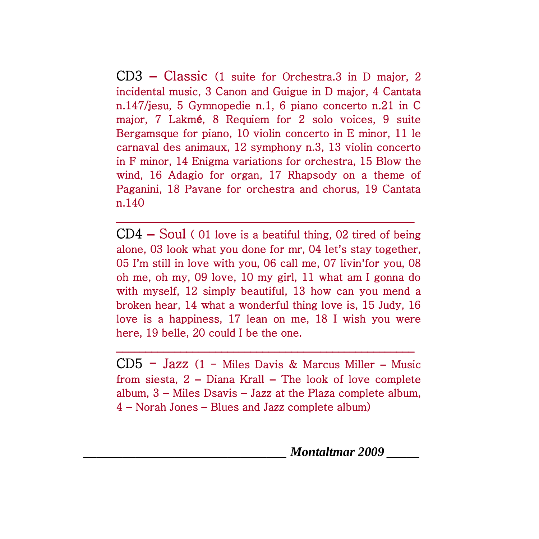CD3 **–** Classic (1 suite for Orchestra.3 in D major, 2 incidental music, 3 Canon and Guigue in D major, 4 Cantata n.147/jesu, 5 Gymnopedie n.1, 6 piano concerto n.21 in C major, 7 Lakm**é**, 8 Requiem for 2 solo voices, 9 suite Bergamsque for piano, 10 violin concerto in E minor, 11 le carnaval des animaux, 12 symphony n.3, 13 violin concerto in F minor, 14 Enigma variations for orchestra, 15 Blow the wind, 16 Adagio for organ, 17 Rhapsody on a theme of Paganini, 18 Pavane for orchestra and chorus, 19 Cantata n.140

CD4 **–** Soul ( 01 love is a beatiful thing, 02 tired of being alone, 03 look what you done for mr, 04 let**'**s stay together, 05 I**'**m still in love with you, 06 call me, 07 livin**'**for you, 08 oh me, oh my, 09 love, 10 my girl, 11 what am I gonna do with myself, 12 simply beautiful, 13 how can you mend a broken hear, 14 what a wonderful thing love is, 15 Judy, 16 love is a happiness, 17 lean on me, 18 I wish you were here, 19 belle, 20 could I be the one.

\_\_\_\_\_\_\_\_\_\_\_\_\_\_\_\_\_\_\_\_\_\_\_\_\_\_\_\_\_\_\_\_\_\_\_\_\_\_\_\_\_\_\_\_\_\_\_\_\_\_\_

CD5 - Jazz (1 - Miles Davis & Marcus Miller **–** Music from siesta, 2 **–** Diana Krall **–** The look of love complete album, 3 **–** Miles Dsavis **–** Jazz at the Plaza complete album, 4 **–** Norah Jones **–** Blues and Jazz complete album)

\_\_\_\_\_\_\_\_\_\_\_\_\_\_\_\_\_\_\_\_\_\_\_\_\_\_\_\_\_\_\_\_\_\_\_\_\_\_\_\_\_\_\_\_\_\_\_\_\_\_\_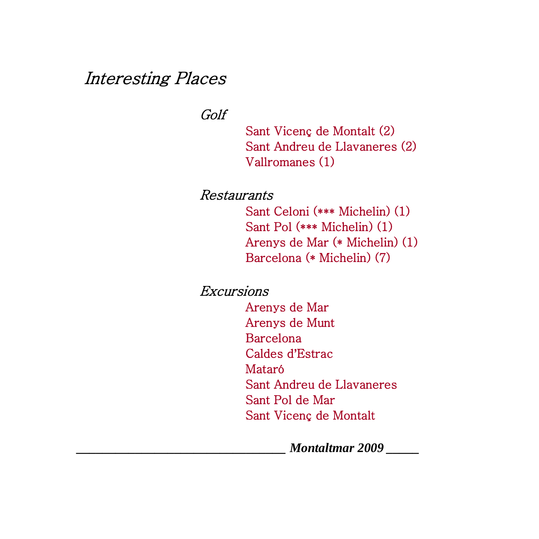### Interesting Places

Golf

 Sant Vicenç de Montalt (2) Sant Andreu de Llavaneres (2) Vallromanes (1)

Restaurants

 Sant Celoni (\*\*\* Michelin) (1) Sant Pol (\*\*\* Michelin) (1) Arenys de Mar (\* Michelin) (1) Barcelona (\* Michelin) (7)

Excursions Arenys de Mar Arenys de Munt Barcelona Caldes d**'**Estrac Mataró

> Sant Andreu de Llavaneres Sant Pol de Mar Sant Vicenç de Montalt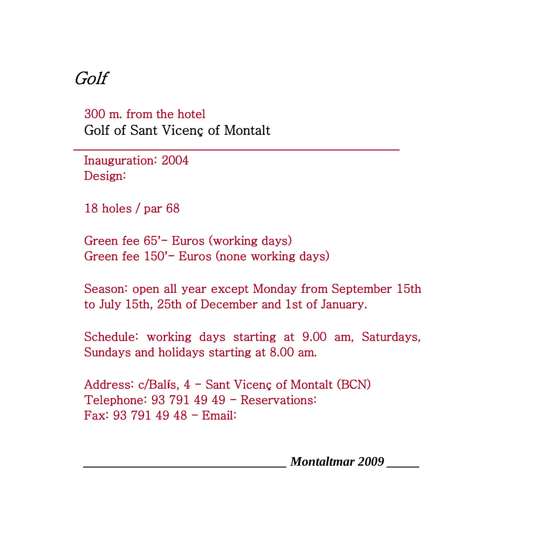## Golf

300 m. from the hotel Golf of Sant Vicenç of Montalt

Inauguration: 2004 Design:

18 holes / par 68

Green fee 65**'**- Euros (working days) Green fee 150**'**- Euros (none working days)

Season: open all year except Monday from September 15th to July 15th, 25th of December and 1st of January.

\_\_\_\_\_\_\_\_\_\_\_\_\_\_\_\_\_\_\_\_\_\_\_\_\_\_\_\_\_\_\_\_\_\_\_\_\_\_\_\_\_\_\_\_\_\_\_\_\_\_\_\_\_\_\_\_\_\_\_\_\_\_

Schedule: working days starting at 9.00 am, Saturdays, Sundays and holidays starting at 8.00 am.

Address: c/Bal**í**s, 4 - Sant Vicenç of Montalt (BCN) Telephone: 93 791 49 49 - Reservations: Fax: 93 791 49 48 - Email: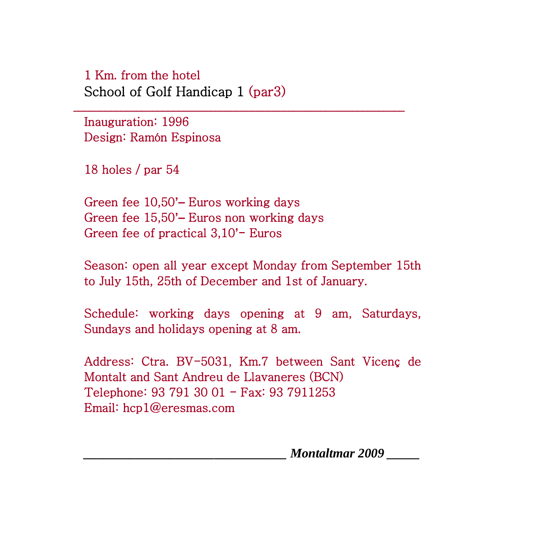### 1 Km. from the hotel School of Golf Handicap 1 (par3)

Inauguration: 1996 Design: Ramón Espinosa

18 holes / par 54

Green fee 10,50**'–** Euros working days Green fee 15,50**'–** Euros non working days Green fee of practical 3,10**'**- Euros

Season: open all year except Monday from September 15th to July 15th, 25th of December and 1st of January.

\_\_\_\_\_\_\_\_\_\_\_\_\_\_\_\_\_\_\_\_\_\_\_\_\_\_\_\_\_\_\_\_\_\_\_\_\_\_\_\_\_\_\_\_\_\_\_\_\_\_\_\_\_\_\_\_\_\_\_\_\_\_\_

Schedule: working days opening at 9 am, Saturdays, Sundays and holidays opening at 8 am.

Address: Ctra. BV-5031, Km.7 between Sant Vicenç de Montalt and Sant Andreu de Llavaneres (BCN) Telephone: 93 791 30 01 - Fax: 93 7911253 Email: [hcp1@eresmas.com](mailto:hcp1@eresmas.com)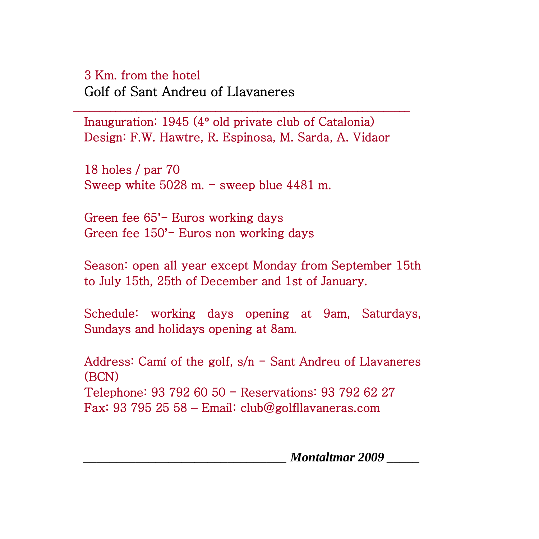#### 3 Km. from the hotel

Golf of Sant Andreu of Llavaneres

Inauguration: 1945 (4**º** old private club of Catalonia) Design: F.W. Hawtre, R. Espinosa, M. Sarda, A. Vidaor

\_\_\_\_\_\_\_\_\_\_\_\_\_\_\_\_\_\_\_\_\_\_\_\_\_\_\_\_\_\_\_\_\_\_\_\_\_\_\_\_\_\_\_\_\_\_\_\_\_\_\_\_\_\_\_\_\_\_\_\_\_\_\_\_

18 holes / par 70 Sweep white  $5028$  m. - sweep blue  $4481$  m.

Green fee 65**'**- Euros working days Green fee 150**'**- Euros non working days

Season: open all year except Monday from September 15th to July 15th, 25th of December and 1st of January.

Schedule: working days opening at 9am, Saturdays, Sundays and holidays opening at 8am.

Address: Camí of the golf,  $s/n$  - Sant Andreu of Llavaneres (BCN) Telephone: 93 792 60 50 - Reservations: 93 792 62 27 Fax: 93 795 25 58 – Email: [club@golfllavaneras.com](mailto:club@golfllavaneras.com)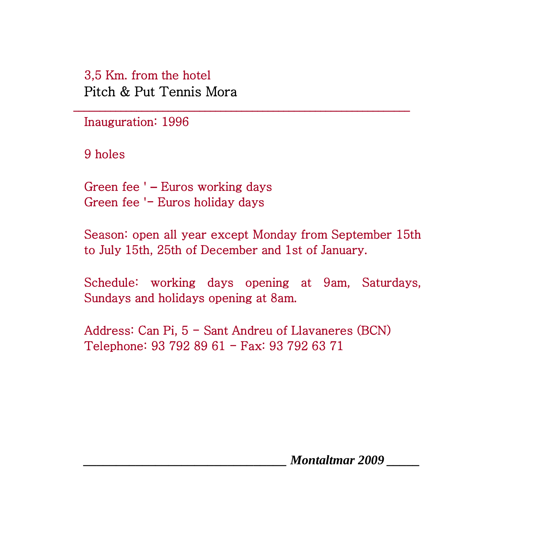### 3,5 Km. from the hotel Pitch & Put Tennis Mora

Inauguration: 1996

9 holes

Green fee ' **–** Euros working days Green fee '- Euros holiday days

Season: open all year except Monday from September 15th to July 15th, 25th of December and 1st of January.

\_\_\_\_\_\_\_\_\_\_\_\_\_\_\_\_\_\_\_\_\_\_\_\_\_\_\_\_\_\_\_\_\_\_\_\_\_\_\_\_\_\_\_\_\_\_\_\_\_\_\_\_\_\_\_\_\_\_\_\_\_\_\_\_

Schedule: working days opening at 9am, Saturdays, Sundays and holidays opening at 8am.

Address: Can Pi, 5 - Sant Andreu of Llavaneres (BCN) Telephone: 93 792 89 61 - Fax: 93 792 63 71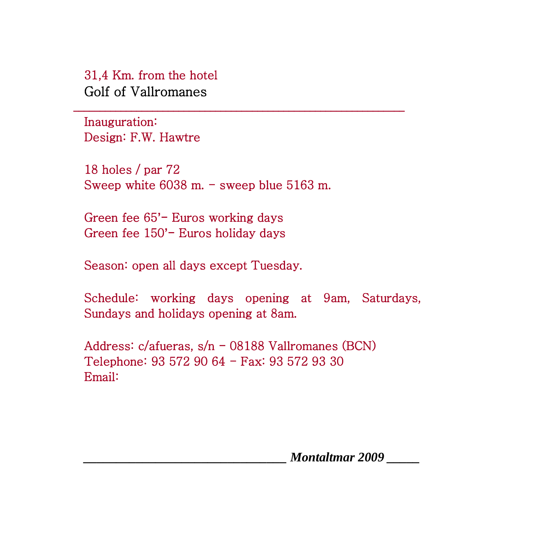31,4 Km. from the hotel Golf of Vallromanes

Inauguration: Design: F.W. Hawtre

18 holes / par 72 Sweep white 6038 m. - sweep blue 5163 m.

\_\_\_\_\_\_\_\_\_\_\_\_\_\_\_\_\_\_\_\_\_\_\_\_\_\_\_\_\_\_\_\_\_\_\_\_\_\_\_\_\_\_\_\_\_\_\_\_\_\_\_\_\_\_\_\_\_\_\_\_\_\_\_

Green fee 65**'**- Euros working days Green fee 150**'**- Euros holiday days

Season: open all days except Tuesday.

Schedule: working days opening at 9am, Saturdays, Sundays and holidays opening at 8am.

Address: c/afueras, s/n - 08188 Vallromanes (BCN) Telephone: 93 572 90 64 - Fax: 93 572 93 30 Email: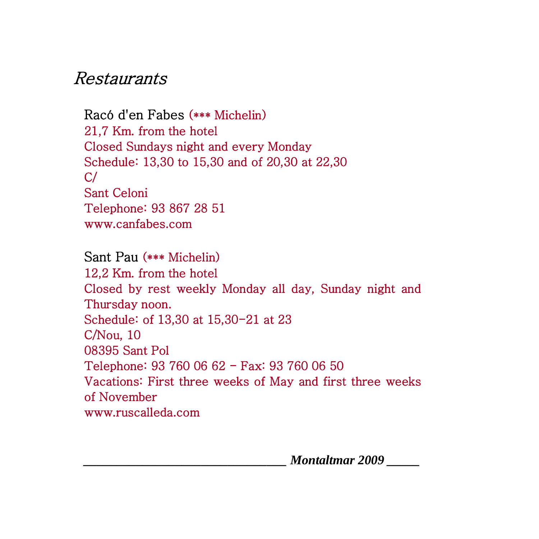### Restaurants

Racó d'en Fabes (\*\*\* Michelin) 21,7 Km. from the hotel Closed Sundays night and every Monday Schedule: 13,30 to 15,30 and of 20,30 at 22,30  $C/$ Sant Celoni Telephone: 93 867 28 51 www.canfabes.com

Sant Pau (\*\*\* Michelin) 12,2 Km. from the hotel Closed by rest weekly Monday all day, Sunday night and Thursday noon. Schedule: of 13,30 at 15,30-21 at 23 C/Nou, 10 08395 Sant Pol Telephone: 93 760 06 62 - Fax: 93 760 06 50 Vacations: First three weeks of May and first three weeks of November [www.ruscalleda.com](http://www.ruscalleda.com/)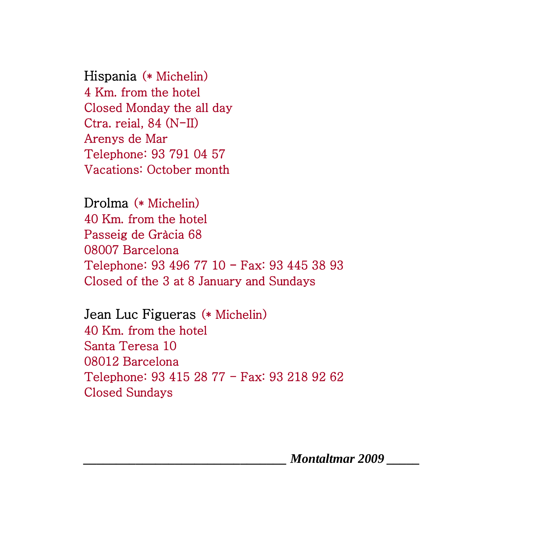Hispania (\* Michelin) 4 Km. from the hotel Closed Monday the all day Ctra. reial, 84 (N-II) Arenys de Mar Telephone: 93 791 04 57 Vacations: October month

Drolma (\* Michelin) 40 Km. from the hotel Passeig de Gràcia 68 08007 Barcelona Telephone: 93 496 77 10 - Fax: 93 445 38 93 Closed of the 3 at 8 January and Sundays

Jean Luc Figueras (\* Michelin) 40 Km. from the hotel Santa Teresa 10 08012 Barcelona Telephone: 93 415 28 77 - Fax: 93 218 92 62 Closed Sundays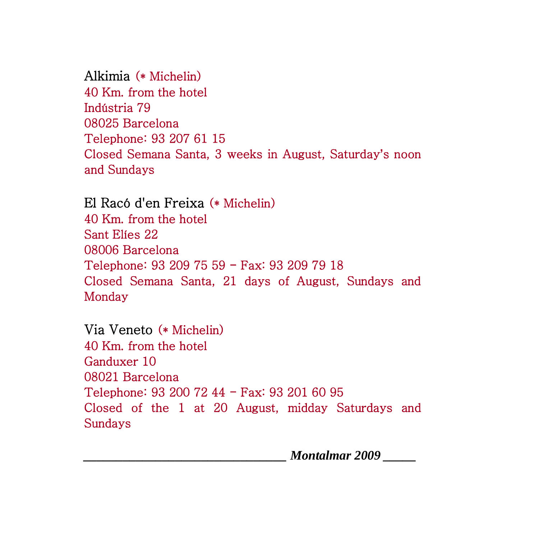Alkimia (\* Michelin) 40 Km. from the hotel Indústria 79 08025 Barcelona Telephone: 93 207 61 15 Closed Semana Santa, 3 weeks in August, Saturday**'**s noon and Sundays

El Racó d'en Freixa (\* Michelin) 40 Km. from the hotel Sant Elíes 22 08006 Barcelona Telephone: 93 209 75 59 - Fax: 93 209 79 18 Closed Semana Santa, 21 days of August, Sundays and Monday

Via Veneto (\* Michelin) 40 Km. from the hotel Ganduxer 10 08021 Barcelona Telephone: 93 200 72 44 - Fax: 93 201 60 95 Closed of the 1 at 20 August, midday Saturdays and Sundays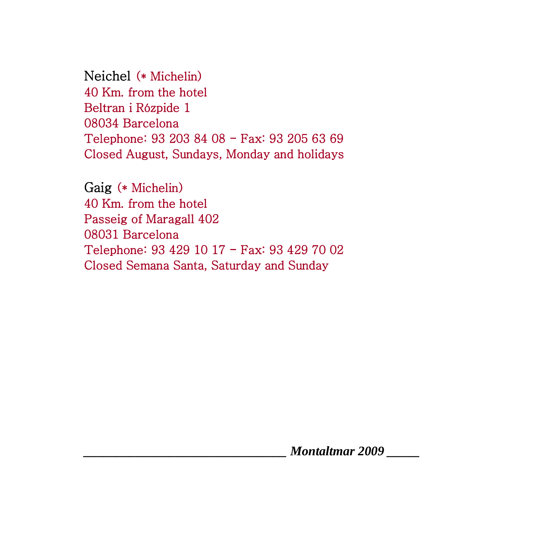Neichel (\* Michelin) 40 Km. from the hotel Beltran i Rózpide 1 08034 Barcelona Telephone: 93 203 84 08 - Fax: 93 205 63 69 Closed August, Sundays, Monday and holidays

Gaig (\* Michelin) 40 Km. from the hotel Passeig of Maragall 402 08031 Barcelona Telephone: 93 429 10 17 - Fax: 93 429 70 02 Closed Semana Santa, Saturday and Sunday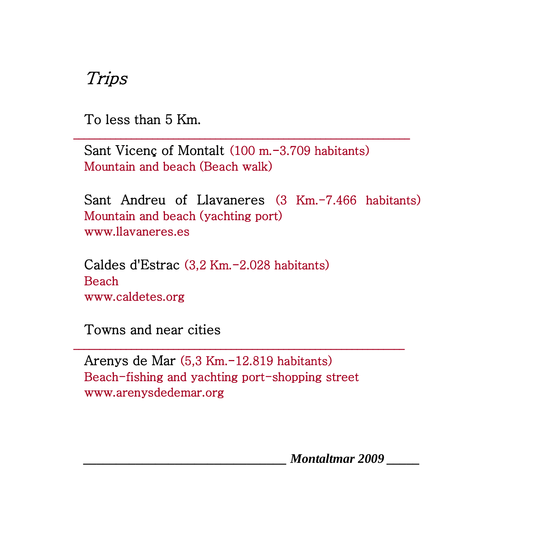Trips

To less than 5 Km.

Sant Vicenç of Montalt (100 m.-3.709 habitants) Mountain and beach (Beach walk)

\_\_\_\_\_\_\_\_\_\_\_\_\_\_\_\_\_\_\_\_\_\_\_\_\_\_\_\_\_\_\_\_\_\_\_\_\_\_\_\_\_\_\_\_\_\_\_\_\_\_\_\_\_\_\_\_\_\_\_\_\_\_\_\_

Sant Andreu of Llavaneres (3 Km.-7.466 habitants) Mountain and beach (yachting port) www.llavaneres.es

Caldes d'Estrac (3,2 Km.-2.028 habitants) Beach www.caldetes.org

Towns and near cities

Arenys de Mar (5,3 Km.-12.819 habitants) Beach-fishing and yachting port-shopping street www.arenysdedemar.org

\_\_\_\_\_\_\_\_\_\_\_\_\_\_\_\_\_\_\_\_\_\_\_\_\_\_\_\_\_\_\_\_\_\_\_\_\_\_\_\_\_\_\_\_\_\_\_\_\_\_\_\_\_\_\_\_\_\_\_\_\_\_\_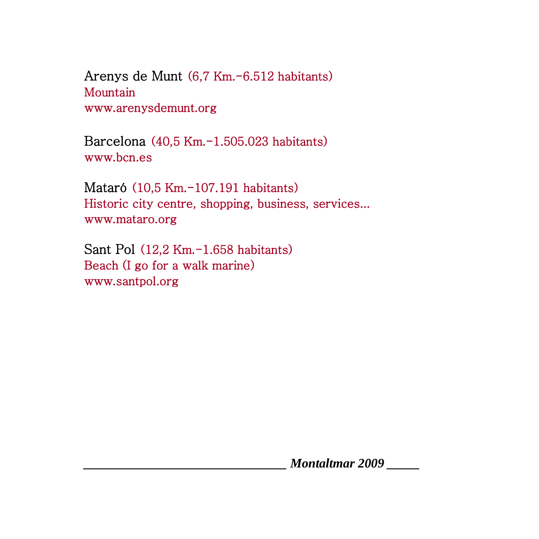Arenys de Munt (6,7 Km.-6.512 habitants) Mountain www.arenysdemunt.org

Barcelona (40,5 Km.-1.505.023 habitants) [www.bcn.es](http://www.bcn.es/) 

Mataró (10,5 Km.-107.191 habitants) Historic city centre, shopping, business, services... www.mataro.org

Sant Pol (12,2 Km.-1.658 habitants) Beach (I go for a walk marine) www.santpol.org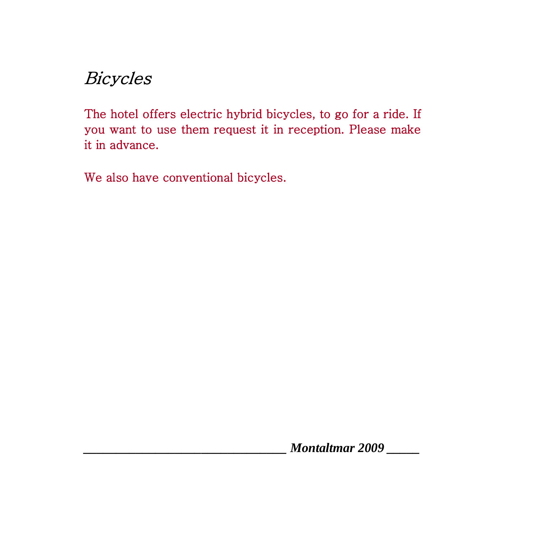# Bicycles

The hotel offers electric hybrid bicycles, to go for a ride. If you want to use them request it in reception. Please make it in advance.

We also have conventional bicycles.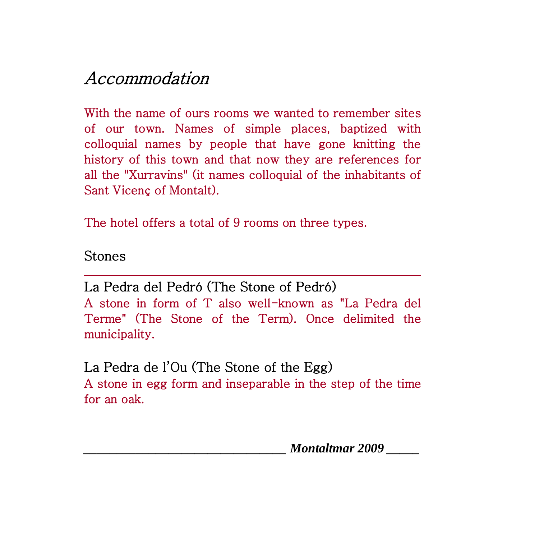# Accommodation

With the name of ours rooms we wanted to remember sites of our town. Names of simple places, baptized with colloquial names by people that have gone knitting the history of this town and that now they are references for all the "Xurravins" (it names colloquial of the inhabitants of Sant Vicenç of Montalt).

The hotel offers a total of 9 rooms on three types.

Stones

La Pedra del Pedró (The Stone of Pedró) A stone in form of T also well-known as "La Pedra del Terme" (The Stone of the Term). Once delimited the municipality.

\_\_\_\_\_\_\_\_\_\_\_\_\_\_\_\_\_\_\_\_\_\_\_\_\_\_\_\_\_\_\_\_\_\_\_\_\_\_\_\_\_\_\_\_\_\_\_\_\_\_\_\_\_\_\_\_\_\_\_\_\_\_\_\_

La Pedra de l'Ou (The Stone of the Egg) A stone in egg form and inseparable in the step of the time for an oak.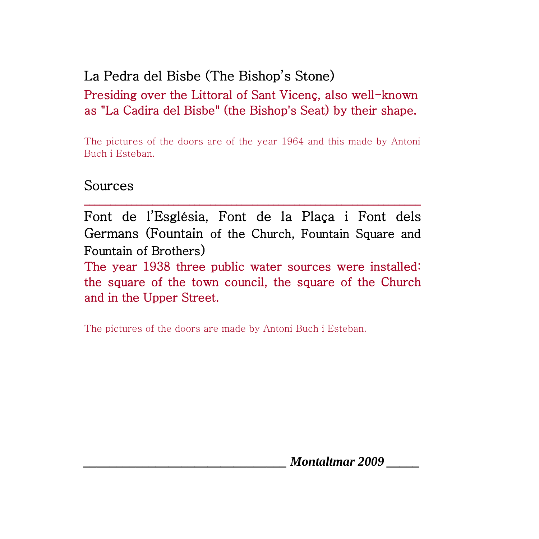### La Pedra del Bisbe (The Bishop's Stone) Presiding over the Littoral of Sant Vicenç, also well-known as "La Cadira del Bisbe" (the Bishop's Seat) by their shape.

The pictures of the doors are of the year 1964 and this made by Antoni Buch i Esteban.

#### Sources

Font de l'Església, Font de la Plaça i Font dels Germans (Fountain of the Church, Fountain Square and Fountain of Brothers)

\_\_\_\_\_\_\_\_\_\_\_\_\_\_\_\_\_\_\_\_\_\_\_\_\_\_\_\_\_\_\_\_\_\_\_\_\_\_\_\_\_\_\_\_\_\_\_\_\_\_\_\_\_\_\_\_\_\_\_\_\_\_\_\_

The year 1938 three public water sources were installed: the square of the town council, the square of the Church and in the Upper Street.

The pictures of the doors are made by Antoni Buch i Esteban.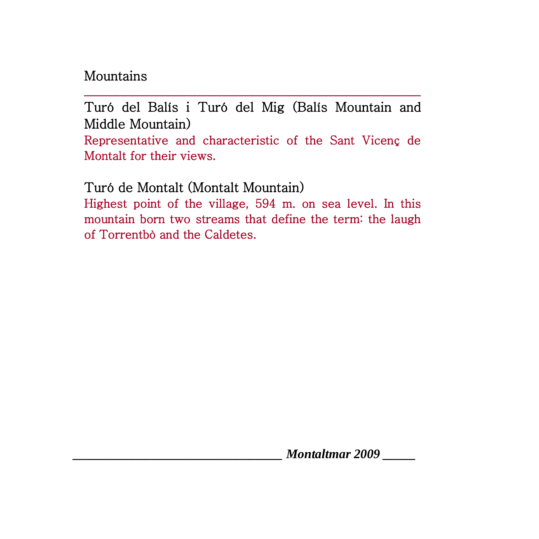### Mountains

Turó del Balís i Turó del Mig (Balís Mountain and Middle Mountain)

\_\_\_\_\_\_\_\_\_\_\_\_\_\_\_\_\_\_\_\_\_\_\_\_\_\_\_\_\_\_\_\_\_\_\_\_\_\_\_\_\_\_\_\_\_\_\_\_\_\_\_\_\_\_\_\_\_\_\_\_\_\_\_\_

Representative and characteristic of the Sant Vicenç de Montalt for their views.

Turó de Montalt (Montalt Mountain)

Highest point of the village, 594 m. on sea level. In this mountain born two streams that define the term: the laugh of Torrentbò and the Caldetes.